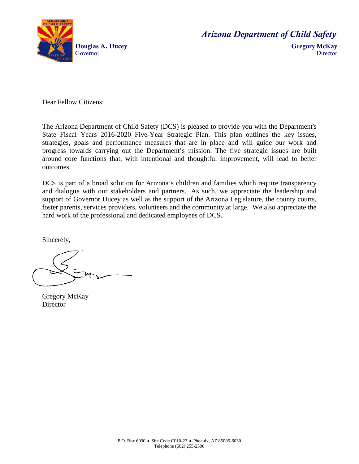

*Arizona Department of Child Safety*

Gregory McKay **Director** 

Dear Fellow Citizens:

The Arizona Department of Child Safety (DCS) is pleased to provide you with the Department's State Fiscal Years 2016-2020 Five-Year Strategic Plan. This plan outlines the key issues, strategies, goals and performance measures that are in place and will guide our work and progress towards carrying out the Department's mission. The five strategic issues are built around core functions that, with intentional and thoughtful improvement, will lead to better outcomes.

DCS is part of a broad solution for Arizona's children and families which require transparency and dialogue with our stakeholders and partners. As such, we appreciate the leadership and support of Governor Ducey as well as the support of the Arizona Legislature, the county courts, foster parents, services providers, volunteers and the community at large. We also appreciate the hard work of the professional and dedicated employees of DCS.

Sincerely,

Gregory McKay **Director**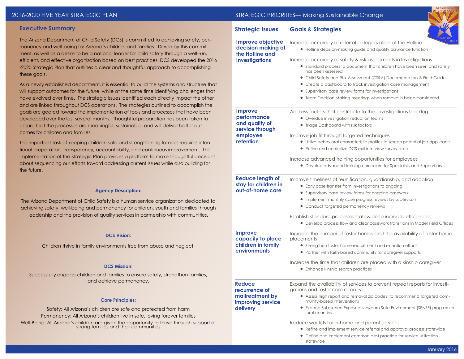## **Executive Summary**

The Arizona Department of Child Safety (DCS) is committed to achieving safety, permanency and well-being for Arizona's children and families. Driven by this commitment, as well as a desire to be a national leader for child safety through a well-run, efficient, and effective organization based on best practices, DCS developed the 2016 -2020 Strategic Plan that outlines a clear and thoughtful approach to accomplishing these goals.

As a newly established department, it is essential to build the systems and structure that will support outcomes for the future, while at the same time identifying challenges that have evolved over time. The strategic issues identified each directly impact the other and are linked throughout DCS operations. The strategies outlined to accomplish the goals are geared toward the implementation of tools and processes that have been developed over the last several months. Thoughtful preparation has been taken to ensure that the processes are meaningful, sustainable, and will deliver better outcomes for children and families.

The important task of keeping children safe and strengthening families requires intentional preparation, transparency, accountability, and continuous improvement. The implementation of the Strategic Plan provides a platform to make thoughtful decision about sequencing our efforts toward addressing current issues while also building for the future.

#### **Agency Description:**

The Arizona Department of Child Safety is a human service organization dedicated to achieving safety, well-being and permanency for children, youth and families through leadership and the provision of quality services in partnership with communities.

#### **DCS Vision:**

Children thrive in family environments free from abuse and neglect.

#### **DCS Mission:**

Successfully engage children and families to ensure safety, strengthen families, and achieve permanency.

#### **Core Principles:**

Safety: All Arizona's children are safe and protected from harm Permanency: All Arizona's children live in safe, loving forever families Well-Being: All Arizona's children are given the opportunity to thrive through support of strong families and their communities

|         | <b>Strategic Issues</b>                                                            | <b>Goals &amp; Strategies</b>                                                                                                                                                                                                                                                                                                                                                                                                     |  |  |  |
|---------|------------------------------------------------------------------------------------|-----------------------------------------------------------------------------------------------------------------------------------------------------------------------------------------------------------------------------------------------------------------------------------------------------------------------------------------------------------------------------------------------------------------------------------|--|--|--|
|         | <b>Improve objective</b><br>decision making at<br>the Hotline and                  | Increase accuracy of referral categorization at the Hotline<br>• Hotline decision-making guide and quality assurance function                                                                                                                                                                                                                                                                                                     |  |  |  |
| 6<br>1t | <b>Investigations</b>                                                              | Increase accuracy of safety & risk assessments in Investigations<br>• Standard process to document that children have been seen and safety<br>has been assessed<br>• Child Safety and Risk Assessment (CSRA) Documentation & Field Guide<br>• Create a dashboard to track investigation case management<br>• Supervisory case review forms for investigations<br>• Team Decision Making meetings when removal is being considered |  |  |  |
|         | <b>Improve</b><br>performance<br>and quality of<br>service through                 | Address factors that contribute to the investigations backlog<br>• Overdue investigation reduction teams<br>• Triage Dashboard with risk factors                                                                                                                                                                                                                                                                                  |  |  |  |
|         | employee<br>retention                                                              | Improve job fit through targeted techniques<br>• Utilize behavioral characteristic profiles to screen potential job applicants<br>• Refine and centralize DCS exit interview survey data                                                                                                                                                                                                                                          |  |  |  |
|         |                                                                                    | Increase advanced training opportunities for employees<br>• Develop advanced training curriculum for Specialists and Supervisors                                                                                                                                                                                                                                                                                                  |  |  |  |
|         | <b>Reduce length of</b><br>stay for children in<br>out-of-home care                | Improve timeliness of reunification, guardianship, and adoption<br>• Early case transfer from investigations to ongoing<br>• Supervisory case review forms for ongoing casework<br>• Implement monthly case progress reviews by supervisors<br>• Conduct targeted permanency reviews                                                                                                                                              |  |  |  |
|         |                                                                                    | Establish standard processes statewide to increase efficiencies<br>• Develop process flow and clear casework transitions in Model Field Offices                                                                                                                                                                                                                                                                                   |  |  |  |
|         | Improve<br>capacity to place<br>children in family<br>environments                 | Increase the number of foster homes and the availability of foster home<br>placements<br>• Strengthen foster home recruitment and retention efforts<br>• Partner with faith-based community for caregiver supports<br>Increase the time that children are placed with a kinship caregiver<br>• Enhance kinship search practices                                                                                                   |  |  |  |
|         | <b>Reduce</b><br>recurrence of<br>maltreatment by<br>improving service<br>delivery | Expand the availability of services to prevent repeat reports for investi-<br>gations and foster care re-entry<br>• Assess high report and removal zip codes to recommend targeted com-<br>munity-based interventions<br>• Expand Substance Exposed Newborn Safe Environment (SENSE) program in<br>rural counties                                                                                                                 |  |  |  |
| f       |                                                                                    | Reduce waitlists for in-home and parent services<br>• Refine and implement service referral and approval process statewide                                                                                                                                                                                                                                                                                                        |  |  |  |